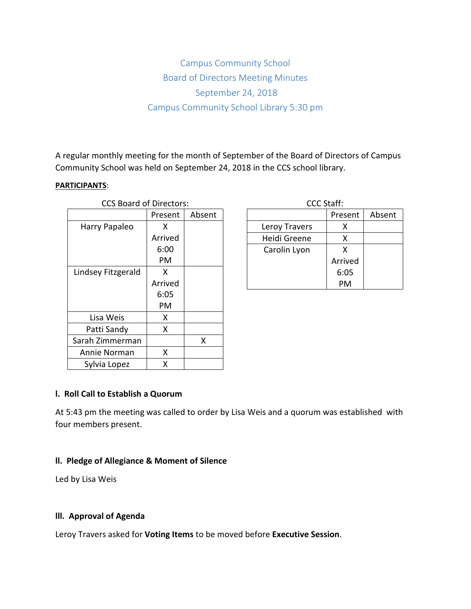# Campus Community School Board of Directors Meeting Minutes September 24, 2018 Campus Community School Library 5:30 pm

A regular monthly meeting for the month of September of the Board of Directors of Campus Community School was held on September 24, 2018 in the CCS school library.

#### **PARTICIPANTS**:

| <b>CCS Board of Directors:</b> |         |        | <b>CCC Staff:</b> |             |
|--------------------------------|---------|--------|-------------------|-------------|
|                                | Present | Absent |                   | <b>Pres</b> |
| Harry Papaleo                  | X       |        | Leroy Travers     | ⟩           |
|                                | Arrived |        | Heidi Greene      | ⟩           |
|                                | 6:00    |        | Carolin Lyon      |             |
|                                | PM      |        |                   | Arri        |
| Lindsey Fitzgerald             | X       |        |                   | 6:0         |
|                                | Arrived |        |                   | PI          |
|                                | 6:05    |        |                   |             |
|                                | PM      |        |                   |             |
| Lisa Weis                      | X.      |        |                   |             |
| Patti Sandy                    | X       |        |                   |             |
| Sarah Zimmerman                |         | X      |                   |             |
| Annie Norman                   | X       |        |                   |             |
| Sylvia Lopez                   | Χ       |        |                   |             |

| CCC Staff:    |         |        |  |  |  |
|---------------|---------|--------|--|--|--|
|               | Present | Absent |  |  |  |
| Leroy Travers | x       |        |  |  |  |
| Heidi Greene  | x       |        |  |  |  |
| Carolin Lyon  | x       |        |  |  |  |
|               | Arrived |        |  |  |  |
|               | 6:05    |        |  |  |  |
|               | PМ      |        |  |  |  |

### **l. Roll Call to Establish a Quorum**

At 5:43 pm the meeting was called to order by Lisa Weis and a quorum was established with four members present.

### **ll. Pledge of Allegiance & Moment of Silence**

Led by Lisa Weis

### **lll. Approval of Agenda**

Leroy Travers asked for **Voting Items** to be moved before **Executive Session**.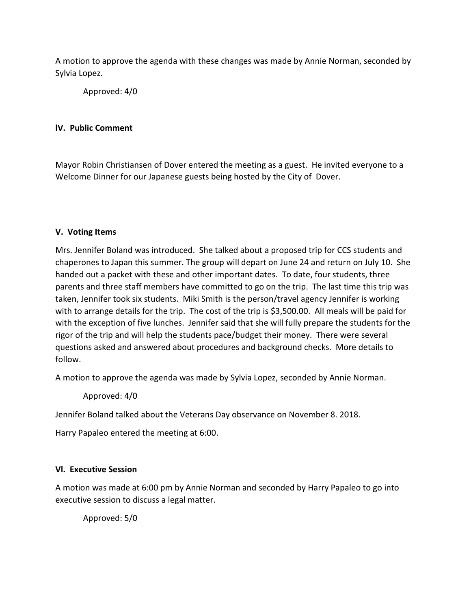A motion to approve the agenda with these changes was made by Annie Norman, seconded by Sylvia Lopez.

Approved: 4/0

# **lV. Public Comment**

Mayor Robin Christiansen of Dover entered the meeting as a guest. He invited everyone to a Welcome Dinner for our Japanese guests being hosted by the City of Dover.

## **V. Voting Items**

Mrs. Jennifer Boland was introduced. She talked about a proposed trip for CCS students and chaperones to Japan this summer. The group will depart on June 24 and return on July 10. She handed out a packet with these and other important dates. To date, four students, three parents and three staff members have committed to go on the trip. The last time this trip was taken, Jennifer took six students. Miki Smith is the person/travel agency Jennifer is working with to arrange details for the trip. The cost of the trip is \$3,500.00. All meals will be paid for with the exception of five lunches. Jennifer said that she will fully prepare the students for the rigor of the trip and will help the students pace/budget their money. There were several questions asked and answered about procedures and background checks. More details to follow.

A motion to approve the agenda was made by Sylvia Lopez, seconded by Annie Norman.

Approved: 4/0

Jennifer Boland talked about the Veterans Day observance on November 8. 2018.

Harry Papaleo entered the meeting at 6:00.

## **Vl. Executive Session**

A motion was made at 6:00 pm by Annie Norman and seconded by Harry Papaleo to go into executive session to discuss a legal matter.

Approved: 5/0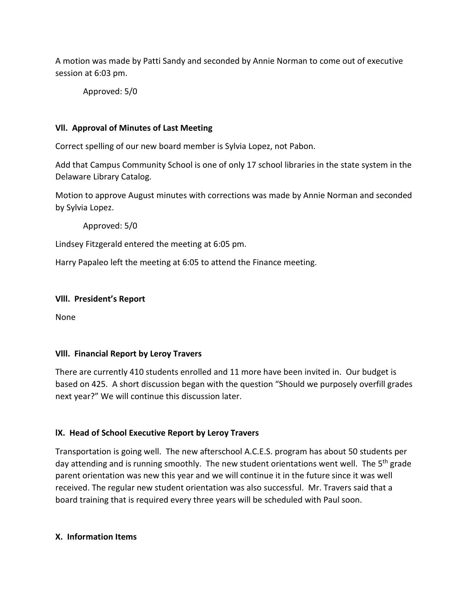A motion was made by Patti Sandy and seconded by Annie Norman to come out of executive session at 6:03 pm.

Approved: 5/0

## **Vll. Approval of Minutes of Last Meeting**

Correct spelling of our new board member is Sylvia Lopez, not Pabon.

Add that Campus Community School is one of only 17 school libraries in the state system in the Delaware Library Catalog.

Motion to approve August minutes with corrections was made by Annie Norman and seconded by Sylvia Lopez.

Approved: 5/0

Lindsey Fitzgerald entered the meeting at 6:05 pm.

Harry Papaleo left the meeting at 6:05 to attend the Finance meeting.

#### **Vlll. President's Report**

None

### **Vlll. Financial Report by Leroy Travers**

There are currently 410 students enrolled and 11 more have been invited in. Our budget is based on 425. A short discussion began with the question "Should we purposely overfill grades next year?" We will continue this discussion later.

## **lX. Head of School Executive Report by Leroy Travers**

Transportation is going well. The new afterschool A.C.E.S. program has about 50 students per day attending and is running smoothly. The new student orientations went well. The 5<sup>th</sup> grade parent orientation was new this year and we will continue it in the future since it was well received. The regular new student orientation was also successful. Mr. Travers said that a board training that is required every three years will be scheduled with Paul soon.

### **X. Information Items**